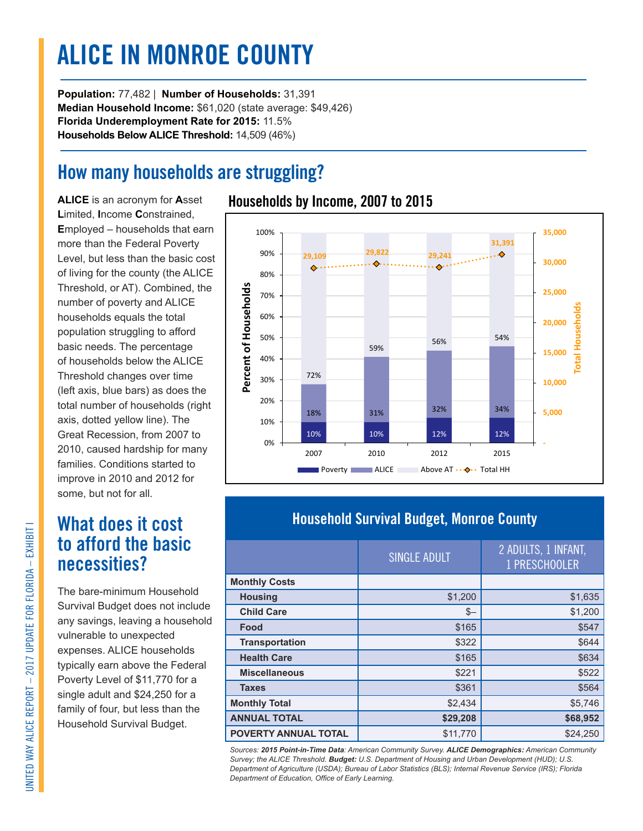# **ALICE IN MONROE COUNTY**

**Population:** 77,482 | **Number of Households:** 31,391 **Median Household Income:** \$61,020 (state average: \$49,426) **Florida Underemployment Rate for 2015:** 11.5% **Households Below ALICE Threshold:** 14,509 (46%)

### **How many households are struggling?**

**ALICE** is an acronym for **A**sset **L**imited, **I**ncome **C**onstrained, **E**mployed – households that earn more than the Federal Poverty Level, but less than the basic cost of living for the county (the ALICE Threshold, or AT). Combined, the number of poverty and ALICE households equals the total population struggling to afford basic needs. The percentage of households below the ALICE Threshold changes over time (left axis, blue bars) as does the total number of households (right axis, dotted yellow line). The Great Recession, from 2007 to 2010, caused hardship for many families. Conditions started to improve in 2010 and 2012 for some, but not for all.

### **What does it cost to afford the basic necessities?**

The bare-minimum Household Survival Budget does not include any savings, leaving a household vulnerable to unexpected expenses. ALICE households typically earn above the Federal Poverty Level of \$11,770 for a single adult and \$24,250 for a family of four, but less than the Household Survival Budget.

#### **Households by Income, 2007 to 2015**



### **Household Survival Budget, Monroe County**

|                             | SINGLE ADULT | 2 ADULTS, 1 INFANT,<br>1 PRESCHOOLER |
|-----------------------------|--------------|--------------------------------------|
| <b>Monthly Costs</b>        |              |                                      |
| <b>Housing</b>              | \$1,200      | \$1,635                              |
| <b>Child Care</b>           | $S-$         | \$1,200                              |
| Food                        | \$165        | \$547                                |
| <b>Transportation</b>       | \$322        | \$644                                |
| <b>Health Care</b>          | \$165        | \$634                                |
| <b>Miscellaneous</b>        | \$221        | \$522                                |
| <b>Taxes</b>                | \$361        | \$564                                |
| <b>Monthly Total</b>        | \$2,434      | \$5,746                              |
| <b>ANNUAL TOTAL</b>         | \$29,208     | \$68,952                             |
| <b>POVERTY ANNUAL TOTAL</b> | \$11,770     | \$24,250                             |

*Sources: 2015 Point-in-Time Data: American Community Survey. ALICE Demographics: American Community Survey; the ALICE Threshold. Budget: U.S. Department of Housing and Urban Development (HUD); U.S. Department of Agriculture (USDA); Bureau of Labor Statistics (BLS); Internal Revenue Service (IRS); Florida Department of Education, Office of Early Learning.*